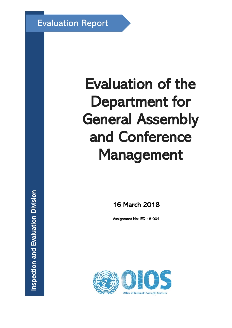Evaluation Report

# Evaluation of the Department for General Assembly and Conference Management

16 March 2018

Assignment No: IED-18-004

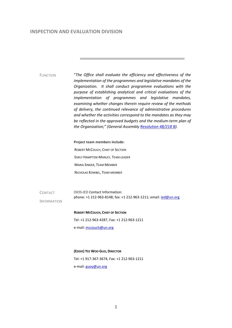#### **INSPECTION AND EVALUATION DIVISION**

FUNCTION "*The Office shall evaluate the efficiency and effectiveness of the implementation of the programmes and legislative mandates of the Organization. It shall conduct programme evaluations with the purpose of establishing analytical and critical evaluations of the implementation of programmes and legislative mandates, examining whether changes therein require review of the methods of delivery, the continued relevance of administrative procedures and whether the activities correspond to the mandates as they may be reflected in the approved budgets and the medium-term plan of the Organization;" (General Assembly [Resolution 48/218 B\)](http://doc.un.org/DocBox/docbox.nsf/GetAll?OpenAgent&DS=A/RES/48/218B).* **Project team members include:** ROBERT MCCOUCH, CHIEF OF SECTION EMILY HAMPTON-MANLEY, TEAM LEADER MARIA SINGER, TEAM MEMBER NICHOLAS KOWBEL, TEAM MEMBER **CONTACT** INFORMATION OIOS-IED Contact Information: phone: +1 212-963-8148; fax: +1 212-963-1211; email: jed@un.org **ROBERT MCCOUCH, CHIEF OF SECTION** Tel: +1 212-963-4287, Fax: +1 212-963-1211 e-mail: mccouch@un.org **(EDDIE) YEE WOO GUO, DIRECTOR**  Tel: +1 917-367-3674, Fax: +1 212-963-1211 e-mail: guoy@un.org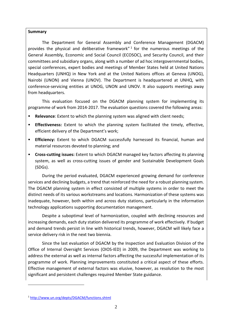#### **Summary**

The Department for General Assembly and Conference Management (DGACM) provides the physical and deliberative framework" $1$  for the numerous meetings of the General Assembly, Economic and Social Council (ECOSOC), and Security Council, and their committees and subsidiary organs, along with a number of ad hoc intergovernmental bodies, special conferences, expert bodies and meetings of Member States held at United Nations Headquarters (UNHQ) in New York and at the United Nations offices at Geneva (UNOG), Nairobi (UNON) and Vienna (UNOV). The Department is headquartered at UNHQ, with conference-servicing entities at UNOG, UNON and UNOV. It also supports meetings away from headquarters.

This evaluation focused on the DGACM planning system for implementing its programme of work from 2014-2017. The evaluation questions covered the following areas:

- **Relevance:** Extent to which the planning system was aligned with client needs;
- **Effectiveness:** Extent to which the planning system facilitated the timely, effective, efficient delivery of the Department's work;
- **Efficiency:** Extent to which DGACM successfully harnessed its financial, human and material resources devoted to planning; and
- **Cross-cutting issues:** Extent to which DGACM managed key factors affecting its planning system, as well as cross-cutting issues of gender and Sustainable Development Goals (SDGs).

During the period evaluated, DGACM experienced growing demand for conference services and declining budgets, a trend that reinforced the need for a robust planning system. The DGACM planning system in effect consisted of multiple systems in order to meet the distinct needs of its various workstreams and locations. Harmonization of these systems was inadequate, however, both within and across duty stations, particularly in the information technology applications supporting documentation management.

Despite a suboptimal level of harmonization, coupled with declining resources and increasing demands, each duty station delivered its programme of work effectively. If budget and demand trends persist in line with historical trends, however, DGACM will likely face a service delivery risk in the next two biennia.

Since the last evaluation of DGACM by the Inspection and Evaluation Division of the Office of Internal Oversight Services (OIOS-IED) in 2009, the Department was working to address the external as well as internal factors affecting the successful implementation of its programme of work. Planning improvements constituted a critical aspect of these efforts. Effective management of external factors was elusive, however, as resolution to the most significant and persistent challenges required Member State guidance.

<span id="page-2-0"></span><sup>1</sup> <http://www.un.org/depts/DGACM/functions.shtml>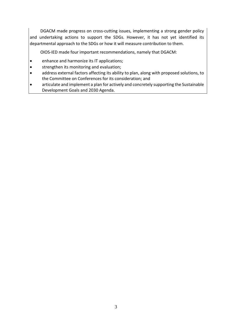DGACM made progress on cross-cutting issues, implementing a strong gender policy and undertaking actions to support the SDGs. However, it has not yet identified its departmental approach to the SDGs or how it will measure contribution to them.

OIOS-IED made four important recommendations, namely that DGACM:

- enhance and harmonize its IT applications;
- strengthen its monitoring and evaluation;
- address external factors affecting its ability to plan, along with proposed solutions, to the Committee on Conferences for its consideration; and
- articulate and implement a plan for actively and concretely supporting the Sustainable Development Goals and 2030 Agenda.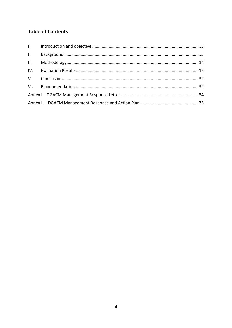# **Table of Contents**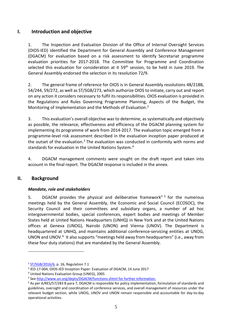## <span id="page-5-0"></span>**I. Introduction and objective**

1. The Inspection and Evaluation Division of the Office of Internal Oversight Services (OIOS-IED) identified the Department for General Assembly and Conference Management (DGACM) for evaluation based on a risk assessment to identify Secretariat programme evaluation priorities for 2017-2018. The Committee for Programme and Coordination selected this evaluation for consideration at it 59<sup>th</sup> session, to be held in June 2019. The General Assembly endorsed the selection in its resolution 72/9.

2. The general frame of reference for OIOS is in General Assembly resolutions 48/218B, 54/244, 59/272, as well as ST/SGB/273, which authorize OIOS to initiate, carry out and report on any action it considers necessary to fulfil its responsibilities. OIOS evaluation is provided in the Regulations and Rules Governing Programme Planning, Aspects of the Budget, the Monitoring of Implementation and the Methods of Evaluation.<sup>[2](#page-5-2)</sup>

3. This evaluation's overall objective was to determine, as systematically and objectively as possible, the relevance, effectiveness and efficiency of the DGACM planning system for implementing its programme of work from 2014-2017. The evaluation topic emerged from a programme-level risk assessment described in the evaluation inception paper produced at the outset of the evaluation. $3$  The evaluation was conducted in conformity with norms and standards for evaluation in the United Nations System.[4](#page-5-4)

4. DGACM management comments were sought on the draft report and taken into account in the final report. The DGACM response is included in the annex.

## <span id="page-5-1"></span>**II. Background**

-

#### *Mandate, role and stakeholders*

[5](#page-5-5). DGACM provides the physical and deliberative framework"<sup>5</sup> for the numerous meetings held by the General Assembly, the Economic and Social Council (ECOSOC), the Security Council and their committees and subsidiary organs, a number of ad hoc intergovernmental bodies, special conferences, expert bodies and meetings of Member States held at United Nations Headquarters (UNHQ) in New York and at the United Nations offices at Geneva (UNOG), Nairobi (UNON) and Vienna (UNOV). The Department is headquartered at UNHQ, and maintains additional conference-servicing entities at UNOG, UNON and UNOV.<sup>[6](#page-5-6)</sup> It also supports "meetings held away from headquarters" (i.e., away from these four duty stations) that are mandated by the General Assembly.

<span id="page-5-2"></span><sup>2</sup> [ST/SGB/2016/6,](https://hr.un.org/handbook/source/secretary-general%27s-bulletins/date) p. 16, Regulation 7.1

<span id="page-5-3"></span><sup>3</sup> IED-17-004, OIOS-IED Inception Paper: Evaluation of DGACM, 14 June 2017

<span id="page-5-4"></span><sup>4</sup> United Nations Evaluation Group (UNEG), 2005

<span id="page-5-5"></span><sup>5</sup> See<http://www.un.org/depts/DGACM/functions.shtml> for further information.

<span id="page-5-6"></span><sup>&</sup>lt;sup>6</sup> As per A/RES/57/283 B para 7, DGACM is responsible for policy implementation, formulation of standards and guidelines, oversight and coordination of conference services, and overall management of resources under the relevant budget section, while UNOG, UNOV and UNON remain responsible and accountable for day-to-day operational activities.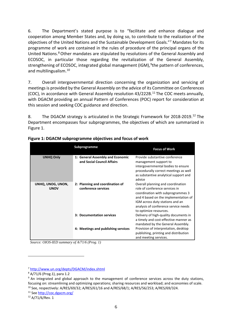6. The Department's stated purpose is to "facilitate and enhance dialogue and cooperation among Member States and, by doing so, to contribute to the realization of the objectives of the United Nations and the Sustainable Development Goals."[7](#page-6-0) Mandates for its programme of work are contained in the rules of procedure of the principal organs of the United Nations.[8](#page-6-1)Other mandates are stipulated by resolutions of the General Assembly and ECOSOC, in particular those regarding the revitalization of the General Assembly, strengthening of ECOSOC, integrated global management (IGM), <sup>[9](#page-6-2)</sup>the pattern of conferences, and multilingualism.[10](#page-6-3)

7. Overall intergovernmental direction concerning the organization and servicing of meetings is provided by the General Assembly on the advice of its Committee on Conferences (COC), in accordance with General Assembly resolution 43/222B.[11](#page-6-4) The COC meets annually, with DGACM providing an annual Pattern of Conferences (POC) report for consideration at this session and seeking COC guidance and direction.

8. The DGACM strategy is articulated in the Strategic Framework for 2018-2019.<sup>12</sup> The Department encompasses four subprogrammes, the objectives of which are summarized in Figure 1.

|                                  | Subprogramme                                                   | <b>Focus of Work</b>                                                                                                                                                                                                                                  |
|----------------------------------|----------------------------------------------------------------|-------------------------------------------------------------------------------------------------------------------------------------------------------------------------------------------------------------------------------------------------------|
| <b>UNHQ Only</b>                 | 1: General Assembly and Economic<br>and Social Council Affairs | Provide substantive conference<br>management support to<br>intergovernmental bodies to ensure<br>procedurally correct meetings as well<br>as substantive analytical support and<br>advice                                                             |
| UNHQ, UNOG, UNON,<br><b>UNOV</b> | 2: Planning and coordination of<br>conference services         | Overall planning and coordination<br>role of conference services in<br>coordination with subprogrammes 3<br>and 4 based on the implementation of<br>IGM across duty stations and an<br>analysis of conference service needs<br>to optimize resources. |
|                                  | 3: Documentation services                                      | Delivery of high-quality documents in<br>a timely and cost-effective manner as<br>mandated by the General Assembly.                                                                                                                                   |
|                                  | 4: Meetings and publishing services                            | Provision of interpretation, desktop<br>publishing, printing and distribution<br>and meeting services.                                                                                                                                                |

**Figure 1: DGACM subprogramme objectives and focus of work**

*Source: OIOS-IED summary of A/71/6 (Prog. 1)*

<span id="page-6-0"></span><sup>7</sup> <http://www.un.org/depts/DGACM/index.shtml>

<span id="page-6-1"></span><sup>8</sup> A/71/6 (Prog.1), para 1.2

<span id="page-6-2"></span><sup>&</sup>lt;sup>9</sup> An integrated and global approach to the management of conference services across the duty stations, focusing on: streamlining and optimizing operations; sharing resources and workload; and economies of scale. <sup>10</sup> See, respectively: A/RES/69/32; A/RES/61/16 and A/RES/68/1; A/RES/56/253; A/RES/69/324.

<span id="page-6-4"></span><span id="page-6-3"></span><sup>11</sup> Se[e http://coc.dgacm.org/](http://coc.dgacm.org/)

<span id="page-6-5"></span><sup>12</sup> A/71/6/Rev. 1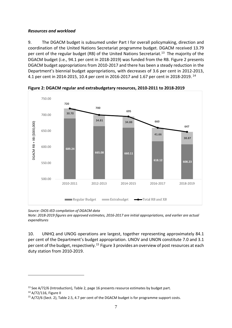### *Resources and workload*

9. The DGACM budget is subsumed under Part I for overall policymaking, direction and coordination of the United Nations Secretariat programme budget. DGACM received 13.79 per cent of the regular budget (RB) of the United Nations Secretariat.<sup>13</sup> The majority of the DGACM budget (i.e., 94.1 per cent in 2018-2019) was funded from the RB. Figure 2 presents DGACM budget appropriations from 2010-2017 and there has been a steady reduction in the Department's biennial budget appropriations, with decreases of 3.6 per cent in 2012-2013, 4.1 per cent in 2014-2015, 10.4 per cent in 2016-2017 and 1.67 per cent in 2018-2019. [14](#page-7-1)



**Figure 2: DGACM regular and extrabudgetary resources, 2010-2011 to 2018-2019** 

*Source: OIOS-IED compilation of DGACM data*

*Note: 2018-2019 figures are approved estimates, 2016-2017 are initial appropriations, and earlier are actual expenditures*

10. UNHQ and UNOG operations are largest, together representing approximately 84.1 per cent of the Department's budget appropriation. UNOV and UNON constitute 7.0 and 3.1 per cent of the budget, respectively.<sup>[15](#page-7-2)</sup> Figure 3 provides an overview of post resources at each duty station from 2010-2019.

<span id="page-7-0"></span><sup>&</sup>lt;sup>13</sup> See A/72/6 (Introduction), Table 2, page 16 presents resource estimates by budget part.

<span id="page-7-1"></span><sup>14</sup> A/72/116, Figure II

<span id="page-7-2"></span><sup>&</sup>lt;sup>15</sup> A/72/6 (Sect. 2), Table 2.5, 4.7 per cent of the DGACM budget is for programme support costs.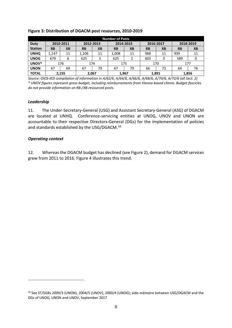|                | <b>Number of Posts</b> |            |           |           |           |           |           |           |           |           |  |
|----------------|------------------------|------------|-----------|-----------|-----------|-----------|-----------|-----------|-----------|-----------|--|
| <b>Duty</b>    | 2010-2011              |            | 2012-2013 |           | 2014-2015 |           | 2016-2017 |           | 2018-2019 |           |  |
| <b>Station</b> | <b>RB</b>              | <b>XB</b>  | <b>RB</b> | <b>XB</b> | <b>RB</b> | <b>XB</b> | <b>RB</b> | <b>XB</b> | <b>RB</b> | <b>XB</b> |  |
| <b>UNHQ</b>    | 1,147                  | 11         | 1,106     | 11        | 1,008     | 11        | 968       | 11        | 939       | 11        |  |
| <b>UNOG</b>    | 679                    | 6          | 625       | 5         | 625       |           | 603       | 0         | 589       |           |  |
| UNOV*          |                        | 176<br>174 |           |           | 175       |           | 170       |           | 177       |           |  |
| <b>UNON</b>    | 67                     | 69         | 67        | 79        | 67        | 79        | 66        | 73        | 64        | 76        |  |
| <b>TOTAL</b>   | 2,155                  |            | 2,067     |           | 1,967     |           | 1,891     |           | 1,856     |           |  |

#### **Figure 3: Distribution of DGACM post resources, 2010-2019**

*Source: OIOS-IED compilation of information in A/62/6, A/64/6, A/66/6, A/68/6, A/70/6, A/72/6 (all Sect. 2) \* UNOV figures represent gross budget, including reimbursements from Vienna-based clients. Budget fascicles do not provide information on RB-/XB-resourced posts.*

#### *Leadership*

11. The Under-Secretary-General (USG) and Assistant Secretary-General (ASG) of DGACM are located at UNHQ. Conference-servicing entities at UNOG, UNOV and UNON are accountable to their respective Directors-General (DGs) for the implementation of policies and standards established by the USG/DGACM.<sup>[16](#page-8-0)</sup>

#### *Operating context*

<u>.</u>

12. Whereas the DGACM budget has declined (see Figure 2), demand for DGACM services grew from 2011 to 2016. Figure 4 illustrates this trend.

<span id="page-8-0"></span><sup>16</sup> See ST/SGBs 2009/3 (UNON), 2004/5 (UNOV), 2000/4 (UNOG); aide-mémoire between USG/DGACM and the DGs of UNOG, UNON and UNOV, September 2017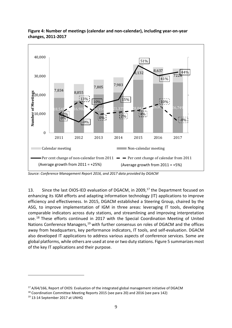

## **Figure 4: Number of meetings (calendar and non-calendar), including year-on-year changes, 2011-2017**

*Source: Conference Management Report 2016, and 2017 data provided by DGACM*

13. Since the last OIOS-IED evaluation of DGACM, in 2009,<sup>[17](#page-9-0)</sup> the Department focused on enhancing its IGM efforts and adapting information technology (IT) applications to improve efficiency and effectiveness. In 2015, DGACM established a Steering Group, chaired by the ASG, to improve implementation of IGM in three areas: leveraging IT tools, developing comparable indicators across duty stations, and streamlining and improving interpretation use.<sup>[18](#page-9-1)</sup> These efforts continued in 2017 with the Special Coordination Meeting of United Nations Conference Managers,<sup>[19](#page-9-2)</sup> with further consensus on roles of DGACM and the offices away from headquarters, key performance indicators, IT tools, and self-evaluation. DGACM also developed IT applications to address various aspects of conference services. Some are global platforms, while others are used at one or two duty stations. Figure 5 summarizes most of the key IT applications and their purpose.

<span id="page-9-0"></span><sup>&</sup>lt;sup>17</sup> A/64/166, Report of OIOS: Evaluation of the integrated global management initiative of DGACM

<span id="page-9-1"></span><sup>18</sup> Coordination Committee Meeting Reports 2015 (see para 20) and 2016 (see para 142)

<span id="page-9-2"></span><sup>19</sup> 13-14 September 2017 at UNHQ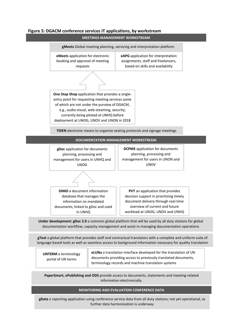#### **Figure 5: DGACM conference services IT applications, by workstream**

**MEETINGS MANAGEMENT WORKSTREAM**



**gText** a global platform that provides staff and contractual translators with a complete and uniform suite of language-based tools as well as seamless access to background information necessary for quality translation

**UNTERM** a terminology portal of UN terms

**eLUNa** a translation interface developed for the translation of UN documents providing access to previously translated documents, terminology records and machine translation systems

**PaperSmart, ePublishing and ODS** provide access to documents, statements and meeting-related information electronically.

#### **MONITORING AND EVALUATION CONFERENCE DATA**

further data harmonization is underway<br>. **gData** a reporting application using conference service data from all duty stations; not yet operational, as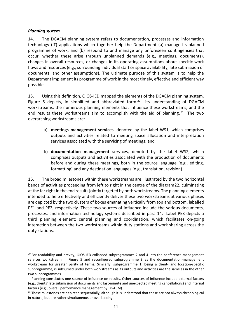#### *Planning system*

-

14. The DGACM planning system refers to documentation, processes and information technology (IT) applications which together help the Department (a) manage its planned programme of work, and (b) respond to and manage any unforeseen contingencies that occur, whether these arise through unplanned demands (e.g., meetings, documents), changes in overall resources, or changes in its operating assumptions about specific work flows and resources (e.g., surrounding individual staff or space availability, late submission of documents, and other assumptions). The ultimate purpose of this system is to help the Department implement its programme of work in the most timely, effective and efficient way possible.

15. Using this definition, OIOS-IED mapped the elements of the DGACM planning system. Figure 6 depicts, in simplified and abbreviated form  $20$ , its understanding of DGACM workstreams, the numerous planning elements that influence these workstreams, and the end results these workstreams aim to accomplish with the aid of planning.<sup>[21](#page-11-1)</sup> The two overarching workstreams are:

- a) **meetings management services**, denoted by the label WS1, which comprises outputs and activities related to meeting space allocation and interpretation services associated with the servicing of meetings; and
- b) **documentation management services**, denoted by the label WS2, which comprises outputs and activities associated with the production of documents before and during these meetings, both in the source language (e.g., editing, formatting) and any destination languages (e.g., translation, revision).

16. The broad milestones within these workstreams are illustrated by the two horizontal bands of activities proceeding from left to right in the centre of the diagram[22](#page-11-2), culminating at the far right in the end results jointly targeted by both workstreams. The planning elements intended to help effectively and efficiently deliver these two workstreams at various phases are depicted by the two clusters of boxes emanating vertically from top and bottom, labelled PE1 and PE2, respectively. These two sources of influence include the various documents, processes, and information technology systems described in para 14. Label PE3 depicts a third planning element: central planning and coordination, which facilitates on-going interaction between the two workstreams within duty stations and work sharing across the duty stations.

<span id="page-11-0"></span> $20$  For readability and brevity, OIOS-IED collapsed subprogrammes 2 and 4 into the conference-management services workstream in Figure 5 and reconfigured subprogramme 3 as the documentation-management workstream for greater parity of terms. Similarly, subprogramme 1, being a client- and location-specific subprogramme, is subsumed under both workstreams as its outputs and activities are the same as in the other two subprogrammes.

<span id="page-11-1"></span><sup>&</sup>lt;sup>21</sup> Planning constitutes one source of influence on results. Other sources of influence include external factors (e.g., clients' late submission of documents and last-minute and unexpected meeting cancellations) and internal factors (e.g., overall performance management by DGACM).

<span id="page-11-2"></span><sup>&</sup>lt;sup>22</sup> These milestones are depicted sequentially, although it is understood that these are not always chronological in nature, but are rather simultaneous or overlapping.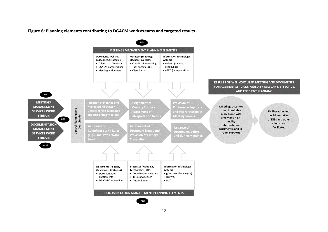**Figure 6: Planning elements contributing to DGACM workstreams and targeted results**

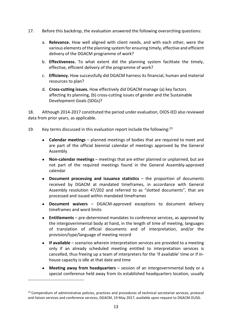- 17. Before this backdrop, the evaluation answered the following overarching questions:
	- a. **Relevance.** How well aligned with client needs, and with each other, were the various elements of the planning system for ensuring timely, effective and efficient delivery of the DGACM programme of work?
	- b. **Effectiveness.** To what extent did the planning system facilitate the timely, effective, efficient delivery of the programme of work?
	- c. **Efficiency.** How successfully did DGACM harness its financial, human and material resources to plan?
	- d. **Cross-cutting issues.** How effectively did DGACM manage (a) key factors affecting its planning, (b) cross-cutting issues of gender and the Sustainable Development Goals (SDGs)?

18. Although 2014-2017 constituted the period under evaluation, OIOS-IED also reviewed data from prior years, as applicable.

- 19. Key terms discussed in this evaluation report include the following: $^{23}$  $^{23}$  $^{23}$ 
	- **Calendar meetings**  planned meetings of bodies that are required to meet and are part of the official biennial calendar of meetings approved by the General Assembly
	- **Non-calendar meetings** meetings that are either planned or unplanned, but are not part of the required meetings found in the General Assembly-approved calendar
	- **Document processing and issuance statistics** the proportion of documents received by DGACM at mandated timeframes, in accordance with General Assembly resolution 47/202 and referred to as "slotted documents", that are processed and issued within mandated timeframes
	- **Document waivers** DGACM-approved exceptions to document delivery timeframes and word limits
	- **Entitlements**  pre-determined mandates to conference services, as approved by the intergovernmental body at hand, in the length of time of meeting, languages of translation of official documents and of interpretation, and/or the provision/type/language of meeting record
	- **If available** scenarios wherein interpretation services are provided to a meeting only if an already scheduled meeting entitled to interpretation services is cancelled, thus freeing up a team of interpreters for the 'if available' time or if inhouse capacity is idle at that date and time
	- **Meeting away from headquarters** session of an intergovernmental body or a special conference held away from its established headquarters location, usually

<span id="page-13-0"></span><sup>&</sup>lt;sup>23</sup> Compendium of administrative policies, practices and procedures of technical secretariat services, protocol and liaison services and conference services, DGACM, 19 May 2017, available upon request to DGACM OUSG.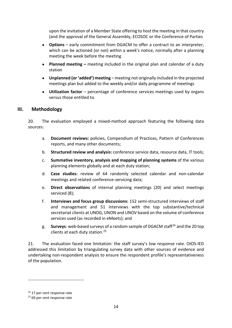upon the invitation of a Member State offering to host the meeting in that country (and the approval of the General Assembly, ECOSOC or the Conference of Parties

- **Options** early commitment from DGACM to offer a contract to an interpreter, which can be actioned (or not) within a week's notice, normally after a planning meeting the week before the meeting
- **Planned meeting –** meeting included in the original plan and calendar of a duty station
- **Unplanned (or 'added') meeting** meeting not originally included in the projected meetings plan but added to the weekly and/or daily programme of meetings
- **Utilization factor** percentage of conference services meetings used by organs versus those entitled to.

## <span id="page-14-0"></span>**III. Methodology**

20. The evaluation employed a mixed-method approach featuring the following data sources:

- a. **Document reviews:** policies, Compendium of Practices, Pattern of Conferences reports, and many other documents;
- b. **Structured review and analysis:** conference service data, resource data, IT tools;
- c. **Summative inventory, analysis and mapping of planning systems** of the various planning elements globally and at each duty station;
- d. **Case studies**: review of 64 randomly selected calendar and non-calendar meetings and related conference-servicing data;
- e. **Direct observations** of internal planning meetings (20) and select meetings serviced (8);
- f. **Interviews and focus group discussions:** 152 semi-structured interviews of staff and management and 51 interviews with the top substantive/technical secretariat clients at UNOG, UNON and UNOV based on the volume of conference services used (as recorded in eMeets); and
- g. **Surveys**: web-based surveys of a random sample of DGACM staf[f24](#page-14-1) and the 20 top clients at each duty station.[25](#page-14-2)

21. The evaluation faced one limitation: the staff survey's low response rate. OIOS-IED addressed this limitation by triangulating survey data with other sources of evidence and undertaking non-respondent analysis to ensure the respondent profile's representativeness of the population.

<span id="page-14-1"></span><sup>&</sup>lt;sup>24</sup> 17 per cent response rate

<span id="page-14-2"></span><sup>&</sup>lt;sup>25</sup> 69 per cent response rate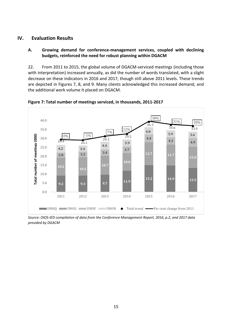## <span id="page-15-0"></span>**IV. Evaluation Results**

### **A. Growing demand for conference-management services, coupled with declining budgets, reinforced the need for robust planning within DGACM**

22. From 2011 to 2015, the global volume of DGACM-serviced meetings (including those with interpretation) increased annually, as did the number of words translated, with a slight decrease on these indicators in 2016 and 2017, though still above 2011 levels. These trends are depicted in Figures 7, 8, and 9. Many clients acknowledged this increased demand, and the additional work volume it placed on DGACM.



**Figure 7: Total number of meetings serviced, in thousands, 2011-2017** 

*Source: OIOS-IED compilation of data from the Conference Management Report, 2016, p.2, and 2017 data provided by DGACM*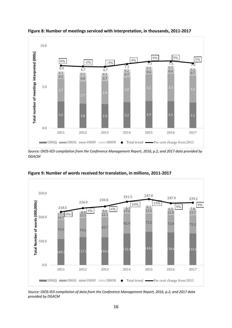

**Figure 8: Number of meetings serviced with interpretation, in thousands, 2011-2017**

*Source: OIOS-IED compilation from the Conference Management Report, 2016, p.2, and 2017 data provided by DGACM*



**Figure 9: Number of words received for translation, in millions, 2011-2017**

*Source: OIOS-IED compilation of data from the Conference Management Report, 2016, p.2, and 2017 data provided by DGACM*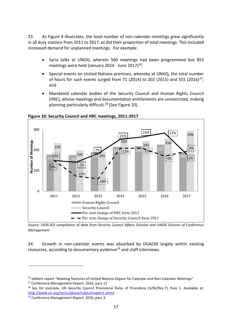23. As Figure 4 illustrates, the total number of non-calendar meetings grew significantly in all duty stations from 2011 to 2017, as did their proportion of total meetings. This included increased demand for unplanned meetings. For example:

- Syria talks at UNOG, wherein 560 meetings had been programmed but 853 meetings were held (January 2014 - June 2017)<sup>[26](#page-17-0)</sup>;
- Special events on United Nations premises, whereby at UNHQ, the total number of hours for such events surged from 71 (2014) to 202 (2015) and 555 (2016)[27](#page-17-1); and
- Mandated calendar bodies of the Security Council and Human Rights Council (HRC), whose meetings and documentation entitlements are unrestricted, making planning particularly difficult.[28](#page-17-2) (See Figure 10).



**Figure 10: Security Council and HRC meetings, 2011-2017**

*Source: OIOS-IED compilation of data from Security Council Affairs Division and UNOG Division of Conference Management*

24. Growth in non-calendar events was absorbed by DGACM largely within existing resources, according to documentary evidence<sup>[29](#page-17-3)</sup> and staff interviews.

<span id="page-17-0"></span><sup>&</sup>lt;sup>26</sup> eMeets report "Meeting Statistics of United Nations Organs for Calendar and Non-Calendar Meetings"<br><sup>27</sup> Conference Management Report, 2016, para 12

<span id="page-17-1"></span>

<span id="page-17-2"></span><sup>&</sup>lt;sup>28</sup> See for example, UN Security Council Provisional Rules of Procedure (S/96/Rev.7), Rule 1. Available at: <http://www.un.org/en/sc/about/rules/chapter1.shtml>

<span id="page-17-3"></span><sup>29</sup> Conference Management Report, 2016, para 3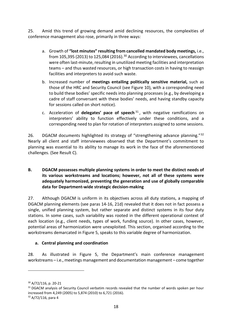25. Amid this trend of growing demand amid declining resources, the complexities of conference management also rose, primarily in three ways:

- a. Growth of **"lost minutes" resulting from cancelled mandated body meetings,** i.e., from 105,395 (2013) to 125,084 (2016).<sup>[30](#page-18-0)</sup> According to interviewees, cancellations were often last-minute, resulting in unutilized meeting facilities and interpretation teams – and thus wasted resources, or high transaction costs in having to reassign facilities and interpreters to avoid such waste.
- b. Increased number of **meetings entailing politically sensitive material,** such as those of the HRC and Security Council (see Figure 10), with a corresponding need to build these bodies' specific needs into planning processes (e.g., by developing a cadre of staff conversant with these bodies' needs, and having standby capacity for sessions called on short notice).
- c. Acceleration of **delegates' pace of speech** [31](#page-18-1) , with negative ramifications on interpreters' ability to function effectively under these conditions, and a corresponding need to plan for rotation of interpreters assigned to some sessions.

26. DGACM documents highlighted its strategy of "strengthening advance planning."<sup>[32](#page-18-2)</sup> Nearly all client and staff interviewees observed that the Department's commitment to planning was essential to its ability to manage its work in the face of the aforementioned challenges. (See Result C).

### **B. DGACM possesses multiple planning systems in order to meet the distinct needs of its various workstreams and locations; however, not all of these systems were adequately harmonized, preventing the generation and use of globally comparable data for Department-wide strategic decision-making**

27. Although DGACM is uniform in its objectives across all duty stations, a mapping of DGACM planning elements (see paras 14-16, 21d) revealed that it does not in fact possess a single, unified planning system, but rather separate and distinct systems in its four duty stations. In some cases, such variability was rooted in the different operational context of each location (e.g., client needs, types of work, funding source). In other cases, however, potential areas of harmonization were unexploited. This section, organised according to the workstreams demarcated in Figure 5, speaks to this variable degree of harmonization.

## **a. Central planning and coordination**

28. As illustrated in Figure 5, the Department's main conference management workstreams – i.e., meetings management and documentation management – come together

<span id="page-18-0"></span><sup>30</sup> A/72/116, p. 20-21

<span id="page-18-1"></span><sup>&</sup>lt;sup>31</sup> DGACM analysis of Security Council verbatim records revealed that the number of words spoken per hour increased from 4,249 (2005) to 5,874 (2010) to 6,721 (2016).

<span id="page-18-2"></span> $32$  A/72/116, para 4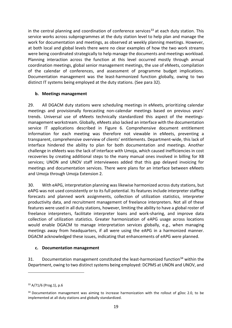in the central planning and coordination of conference services<sup>[33](#page-19-0)</sup> at each duty station. This service works across subprogrammes at the duty station level to help plan and manage the work for documentation and meetings, as observed at weekly planning meetings. However, at both local and global levels there were no clear examples of how the two work streams were being coordinated strategically to help manage the documents and meetings workload. Planning interaction across the function at this level occurred mostly through annual coordination meetings, global senior management meetings, the use of eMeets, compilation of the calendar of conferences, and assessment of programme budget implications. Documentation management was the least-harmonized function globally, owing to two distinct IT systems being employed at the duty stations. (See para 32).

#### **b. Meetings management**

29. All DGACM duty stations were scheduling meetings in eMeets, prioritizing calendar meetings and provisionally forecasting non-calendar meetings based on previous years' trends. Universal use of eMeets technically standardized this aspect of the meetingsmanagement workstream. Globally, eMeets also lacked an interface with the documentation service IT applications described in Figure 6. Comprehensive document entitlement information for each meeting was therefore not viewable in eMeets, preventing a transparent, comprehensive overview of clients' entitlements. Department-wide, this lack of interface hindered the ability to plan for both documentation and meetings. Another challenge in eMeets was the lack of interface with Umoja, which caused inefficiencies in cost recoveries by creating additional steps to the many manual ones involved in billing for XB services; UNON and UNOV staff interviewees added that this gap delayed invoicing for meetings and documentation services. There were plans for an interface between eMeets and Umoja through Umoja Extension 2.

30. With eAPG, interpretation planning was likewise harmonized across duty stations, but eAPG was not used consistently or to its full potential. Its features include interpreter staffing forecasts and planned work assignments, collection of utilization statistics, interpreter productivity data, and recruitment management of freelance interpreters. Not all of these features were used in all duty stations, however, limiting the ability to have a global roster of freelance interpreters, facilitate interpreter loans and work-sharing, and improve data collection of utilization statistics. Greater harmonization of eAPG usage across locations would enable DGACM to manage interpretation services globally, e.g., when managing meetings away from headquarters, if all were using the eAPG in a harmonized manner. DGACM acknowledged these issues, indicating that enhancements of eAPG were planned.

#### **c. Documentation management**

31. Documentation management constituted the least-harmonized function<sup>34</sup> within the Department, owing to two distinct systems being employed: DCPMS at UNON and UNOV, and

<span id="page-19-0"></span><sup>33</sup> A/71/6 (Prog.1), p.6

<span id="page-19-1"></span> $34$  Documentation management was aiming to increase harmonization with the rollout of gDoc 2.0, to be implemented at all duty stations and globally standardized.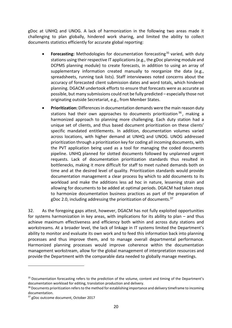gDoc at UNHQ and UNOG. A lack of harmonization in the following two areas made it challenging to plan globally, hindered work sharing, and limited the ability to collect documents statistics efficiently for accurate global reporting:

- **Forecasting:** Methodologies for documentation forecasting<sup>[35](#page-20-0)</sup> varied, with duty stations using their respective IT applications (e.g., the gDoc planning module and DCPMS planning module) to create forecasts, in addition to using an array of supplementary information created manually to reorganize the data (e.g., spreadsheets, running task lists). Staff interviewees noted concerns about the accuracy of forecasted client submission dates and word totals, which hindered planning. DGACM undertook efforts to ensure that forecasts were as accurate as possible, but many submissions could not be fully predicted – especially those not originating outside Secretariat, e.g., from Member States.
- **Prioritization:** Differences in documentation demands were the main reason duty stations had their own approaches to documents prioritization  $36$ , making a harmonized approach to planning more challenging. Each duty station had a unique set of clients, and thus based document prioritization on these clients' specific mandated entitlements. In addition, documentation volumes varied across locations, with higher demand at UNHQ and UNOG. UNOG addressed prioritization through a prioritization key for coding all incoming documents, with the PVT application being used as a tool for managing the coded documents pipeline. UNHQ planned for slotted documents followed by unplanned urgent requests. Lack of documentation prioritization standards thus resulted in bottlenecks, making it more difficult for staff to meet rushed demands both on time and at the desired level of quality. Prioritization standards would provide documentation management a clear process by which to add documents to its workload and make the additions less ad hoc in nature, lessening strain and allowing for documents to be added at optimal periods. DGACM had taken steps to harmonize documentation business practices as part of the preparation of gDoc 2.0, including addressing the prioritization of documents.  $37$

32. As the foregoing gaps attest, however, DGACM has not fully exploited opportunities for systems harmonization in key areas, with implications for its ability to plan – and thus achieve maximum effectiveness and efficiency both within and across duty stations and workstreams. At a broader level, the lack of linkage in IT systems limited the Department's ability to monitor and evaluate its own work and to feed this information back into planning processes and thus improve them, and to manage overall departmental performance. Harmonized planning processes would improve coherence within the documentation management workstream, allow for the global management of interpretation resources and provide the Department with the comparable data needed to globally manage meetings.

<span id="page-20-0"></span><sup>&</sup>lt;sup>35</sup> Documentation forecasting refers to the prediction of the volume, content and timing of the Department's documentation workload for editing, translation production and delivery.

<span id="page-20-1"></span><sup>&</sup>lt;sup>36</sup> Documents prioritization refers to the method for establishing importance and delivery timeframe to incoming documentation.

<span id="page-20-2"></span><sup>37</sup> gDoc outcome document, October 2017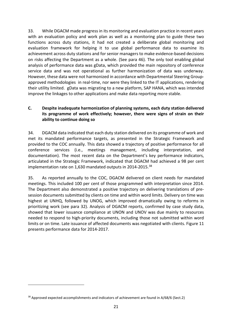33. While DGACM made progress in its monitoring and evaluation practice in recent years with an evaluation policy and work plan as well as a monitoring plan to guide these two functions across duty stations, it had not created a deliberate global monitoring and evaluation framework for helping it to use global performance data to examine its achievement across duty stations and for senior managers to make evidence-based decisions on risks affecting the Department as a whole. (See para 46). The only tool enabling global analysis of performance data was gData, which provided the main repository of conference service data and was not operational as further harmonization of data was underway. However, these data were not harmonized in accordance with Departmental Steering Groupapproved methodologies in real-time, nor were they linked to the IT applications, rendering their utility limited. gData was migrating to a new platform, SAP HANA, which was intended improve the linkages to other applications and make data reporting more stable.

## **C. Despite inadequate harmonization of planning systems, each duty station delivered its programme of work effectively; however, there were signs of strain on their ability to continue doing so**

34. DGACM data indicated that each duty station delivered on its programme of work and met its mandated performance targets, as presented in the Strategic Framework and provided to the COC annually. This data showed a trajectory of positive performance for all conference services (i.e., meetings management, including interpretation, and documentation). The most recent data on the Department's key performance indicators, articulated in the Strategic Framework, indicated that DGACM had achieved a 98 per cent implementation rate on 1,630 mandated outputs in 2014-2015.<sup>[38](#page-21-0)</sup>

35. As reported annually to the COC, DGACM delivered on client needs for mandated meetings. This included 100 per cent of those programmed with interpretation since 2014. The Department also demonstrated a positive trajectory on delivering translations of presession documents submitted by clients on time and within word limits. Delivery on time was highest at UNHQ, followed by UNOG, which improved dramatically owing to reforms in prioritizing work (see para 32). Analysis of DGACM reports, confirmed by case study data, showed that lower issuance compliance at UNON and UNOV was due mainly to resources needed to respond to high-priority documents, including those not submitted within word limits or on time. Late issuance of affected documents was negotiated with clients. Figure 11 presents performance data for 2014-2017.

<span id="page-21-0"></span> $38$  Approved expected accomplishments and indicators of achievement are found in  $A/68/6$  (Sect.2)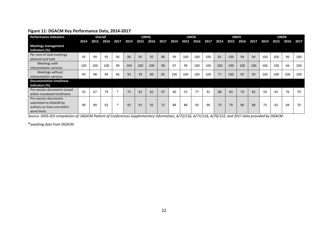#### **Figure 11: DGACM Key Performance Data, 2014-2017**

| <b>Performance Indicators</b>                                                               |      | Overall |      |        |      |      | <b>UNHO</b> |      |      |      | <b>UNOG</b> |      |      |      | <b>UNOV</b> |      |      |      | <b>UNON</b> |      |
|---------------------------------------------------------------------------------------------|------|---------|------|--------|------|------|-------------|------|------|------|-------------|------|------|------|-------------|------|------|------|-------------|------|
|                                                                                             | 2014 | 2015    | 2016 | 2017   | 2014 | 2015 | 2016        | 2017 | 2014 | 2015 | 2016        | 2017 | 2014 | 2015 | 2016        | 2017 | 2014 | 2015 | 2016        | 2017 |
| <b>Meetings management</b><br>indicators (%)                                                |      |         |      |        |      |      |             |      |      |      |             |      |      |      |             |      |      |      |             |      |
| Per cent of total meetings<br>planned and held                                              | 95   | 99      | 95   | 96     | 96   | 95   | 92          | 88   | 99   | 100  | 100         | 100  | 81   | 100  | 94          | 94   | 100  | 100  | 96          | 100  |
| Meetings with<br>interpretation services                                                    | 100  | 100     | 100  | 99     | 100  | 100  | 100         | 98   | 97   | 99   | 100         | 100  | 100  | 100  | 100         | 100  | 100  | 100  | 66          | 100  |
| Meetings without<br>interpretation services                                                 | 94   | 98      | 94   | 96     | 93   | 93   | 89          | 85   | 100  | 100  | 100         | 100  | 77   | 100  | 92          | 93   | 100  | 100  | 100         | 100  |
| <b>Documentation timeliness</b><br>indicators (%)                                           |      |         |      |        |      |      |             |      |      |      |             |      |      |      |             |      |      |      |             |      |
| Pre-session documents issued<br>within mandated timeframe                                   | 55   | 67      | 79   | $\ast$ | 75   | 81   | 82          | 97   | 40   | 53   | 77          | 91   | 88   | 83   | 79          | 82   | 59   | 65   | 76          | 70   |
| Pre-session documents<br>submitted to DGACM by<br>authors on time and within<br>word limits | 90   | 89      | 92   | *      | 92   | 91   | 92          | 72   | 88   | 88   | 93          | 90   | 73   | 79   | 86          | 88   | 73   | 65   | 84          | 70   |

*Source: OIOS-IED compilation of: DGACM Pattern of Conferences Supplementary Information, A/72/116, A/71/116, A/70/122, and 2017 data provided by DGACM*

\*awaiting data from DGACM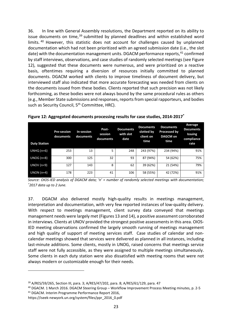36. In line with General Assembly resolutions, the Department reported on its ability to issue documents on time, $39$  submitted by planned deadlines and within established word limits. [40](#page-23-1) However, this statistic does not account for challenges caused by unplanned documentation which had not been prioritized with an agreed submission date (i.e., the slot date) with the documentation management units. DGACM performance reports,<sup>[41](#page-23-2)</sup> confirmed by staff interviews, observations, and case studies of randomly selected meetings (see Figure 12), suggested that these documents were numerous, and were prioritized on a reactive basis, oftentimes requiring a diversion of resources initially committed to planned documents. DGACM worked with clients to improve timeliness of document delivery, but interviewed staff also indicated that more accurate forecasting was needed from clients on the documents issued from these bodies. Clients reported that such precision was not likely forthcoming, as these bodies were not always bound by the same procedural rules as others (e.g., Member State submissions and responses, reports from special rapporteurs, and bodies such as Security Council, 5<sup>th</sup> Committee, HRC).

| <b>Duty Station</b> | <b>Pre-session</b><br>documents | In-session<br>documents | Post-<br>session<br>documents | <b>Documents</b><br>with slot<br>date | <b>Documents</b><br>slotted by<br>client on<br>time | <b>Documents</b><br>Processed by<br><b>DAGCM</b> on<br>time | Average<br><b>Documents</b><br><b>Issuing</b><br>compliance<br>rate |
|---------------------|---------------------------------|-------------------------|-------------------------------|---------------------------------------|-----------------------------------------------------|-------------------------------------------------------------|---------------------------------------------------------------------|
| $UNHQ(n=6)$         | 253                             | 13                      | 5                             | 248                                   | 243 (97%)                                           | 234 (94%)                                                   | 91%                                                                 |
| $UNOG(n=8)$         | 300                             | 125                     | 32                            | 93                                    | 87 (94%)                                            | 54 (62%)                                                    | 75%                                                                 |
| $UNOV(n=9)$         | 127                             | 143                     | 8                             | 62                                    | 39 (62%)                                            | 21 (54%)                                                    | 79%                                                                 |
| $UNON(n=4)$         | 178                             | 223                     | 41                            | 106                                   | 58 (55%)                                            | 42 (72%)                                                    | 91%                                                                 |

**Figure 12: Aggregated documents processing results for case studies, 2014-2017\***

*Source: OIOS-IED analysis of DGACM data; 'n' = number of randomly selected meetings with documentation; \* 2017 data up to 2 June.*

37. DGACM also delivered mostly high-quality results in meetings management, interpretation and documentation, with very few reported instances of low-quality delivery. With respect to meetings management, client survey data conveyed that meetings management needs were largely met (Figures 13 and 14), a positive assessment corroborated in interviews. Clients at UNOV provided the strongest positive assessments in this area. OIOS-IED meeting observations confirmed the largely smooth running of meetings management and high quality of support of meeting services staff. Case studies of calendar and noncalendar meetings showed that services were delivered as planned in all instances, including last-minute additions. Some clients, mostly in UNOG, raised concerns that meetings service staff were not fully accessible, as they were assigned to multiple meetings simultaneously. Some clients in each duty station were also dissatisfied with meeting rooms that were not always modern or customizable enough for their needs.

<span id="page-23-1"></span><span id="page-23-0"></span><sup>&</sup>lt;sup>39</sup> A/RES/59/265, Section III, para. 3; A/RES/47/202, para. 8; A/RES/61/129, para. 47<br><sup>40</sup> DGACM. 1 March 2016. DGACM Steering Group – Workflow Improvement Process Meeting minutes, p. 2-5

<span id="page-23-2"></span><sup>41</sup> DGACM. Interim Programme Performance Report 2016,

https://iseek-newyork.un.org/system/files/ppr\_2016\_0.pdf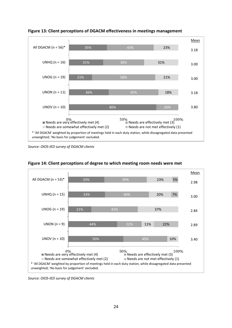

**Figure 13: Client perceptions of DGACM effectiveness in meetings management**

*Source: OIOS-IED survey of DGACM clients*



**Figure 14: Client perceptions of degree to which meeting room needs were met**

*Source: OIOS-IED survey of DGACM clients*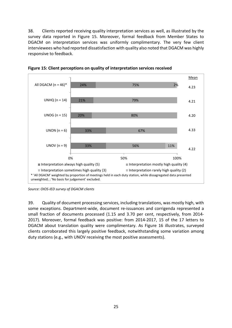38. Clients reported receiving quality interpretation services as well, as illustrated by the survey data reported in Figure 15. Moreover, formal feedback from Member States to DGACM on interpretation services was uniformly complimentary. The very few client interviewees who had reported dissatisfaction with quality also noted that DGACM was highly responsive to feedback.



**Figure 15: Client perceptions on quality of interpretation services received**

39. Quality of document processing services, including translations, was mostly high, with some exceptions. Department-wide, document re-issuances and corrigenda represented a small fraction of documents processed (1.15 and 3.70 per cent, respectively, from 2014- 2017). Moreover, formal feedback was positive: from 2014-2017, 15 of the 17 letters to DGACM about translation quality were complimentary. As Figure 16 illustrates, surveyed clients corroborated this largely positive feedback, notwithstanding some variation among duty stations (e.g., with UNOV receiving the most positive assessments).

*Source: OIOS-IED survey of DGACM clients*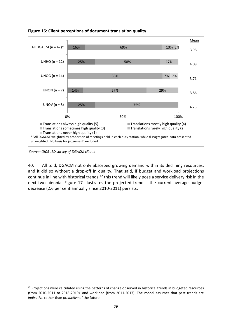

**Figure 16: Client perceptions of document translation quality** 

*Source: OIOS-IED survey of DGACM clients*

-

40. All told, DGACM not only absorbed growing demand within its declining resources; and it did so without a drop-off in quality. That said, if budget and workload projections continue in line with historical trends,<sup>[42](#page-26-0)</sup> this trend will likely pose a service delivery risk in the next two biennia. Figure 17 illustrates the projected trend if the current average budget decrease (2.6 per cent annually since 2010-2011) persists.

<span id="page-26-0"></span><sup>&</sup>lt;sup>42</sup> Projections were calculated using the patterns of change observed in historical trends in budgeted resources (from 2010-2011 to 2018-2019), and workload (from 2011-2017). The model assumes that past trends are *indicative* rather than *predictive* of the future.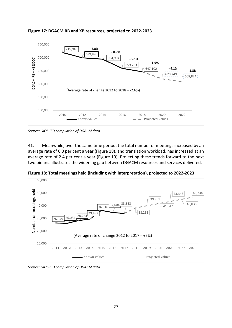

**Figure 17: DGACM RB and XB resources, projected to 2022-2023**

*Source: OIOS-IED compilation of DGACM data*

41. Meanwhile, over the same time period, the total number of meetings increased by an average rate of 6.0 per cent a year (Figure 18), and translation workload, has increased at an average rate of 2.4 per cent a year (Figure 19). Projecting these trends forward to the next two biennia illustrates the widening gap between DGACM resources and services delivered.

**Figure 18: Total meetings held (including with interpretation), projected to 2022-2023**



*Source: OIOS-IED compilation of DGACM data*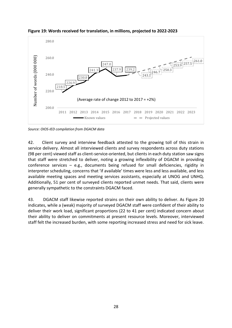

**Figure 19: Words received for translation, in millions, projected to 2022-2023**

*Source: OIOS-IED compilation from DGACM data*

42. Client survey and interview feedback attested to the growing toll of this strain in service delivery. Almost all interviewed clients and survey respondents across duty stations (98 per cent) viewed staff as client-service-oriented, but clients in each duty station saw signs that staff were stretched to deliver, noting a growing inflexibility of DGACM in providing conference services – e.g., documents being refused for small deficiencies, rigidity in interpreter scheduling, concerns that 'if available' times were less and less available, and less available meeting spaces and meeting services assistants, especially at UNOG and UNHQ. Additionally, 51 per cent of surveyed clients reported unmet needs. That said, clients were generally sympathetic to the constraints DGACM faced.

43. DGACM staff likewise reported strains on their own ability to deliver. As Figure 20 indicates, while a (weak) majority of surveyed DGACM staff were confident of their ability to deliver their work load, significant proportions (22 to 41 per cent) indicated concern about their ability to deliver on commitments at present resource levels. Moreover, interviewed staff felt the increased burden, with some reporting increased stress and need for sick leave.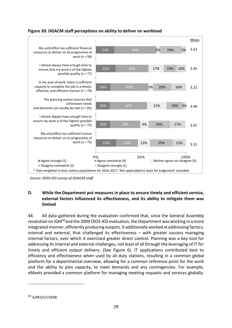



*Source: OIOS-IED survey of DGACM staff*

#### **D. While the Department put measures in place to ensure timely and efficient service, external factors influenced its effectiveness, and its ability to mitigate them was limited**

44. All data gathered during the evaluation confirmed that, since the General Assembly resolution on IGM[43](#page-29-0)and the 2009 OIOS-IED evaluation, the Department was working in a more integrated manner, efficiently producing outputs. It additionally worked at addressing factors, internal and external, that challenged its effectiveness – with greater success managing internal factors, over which it exercised greater direct control. Planning was a key tool for addressing its internal and external challenges, not least of all through the leveraging of IT for timely and efficient output delivery. (See Figure 6). IT applications contributed best to efficiency and effectiveness when used by all duty stations, resulting in a common global platform for a departmental overview, allowing for a common reference point for the work and the ability to plan capacity, to meet demands and any contingencies. For example, eMeets provided a common platform for managing meeting requests and services globally.

<span id="page-29-0"></span><sup>43</sup> A/RES/57/283B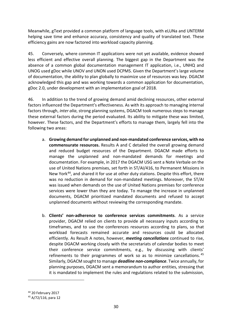Meanwhile, gText provided a common platform of language tools, with eLUNa and UNTERM helping save time and enhance accuracy, consistency and quality of translated text. These efficiency gains are now factored into workload capacity planning.

45. Conversely, where common IT applications were not yet available, evidence showed less efficient and effective overall planning. The biggest gap in the Department was the absence of a common global documentation management IT application, i.e., UNHQ and UNOG used gDoc while UNOV and UNON used DCPMS. Given the Department's large volume of documentation, the ability to plan globally to maximize use of resources was key. DGACM acknowledged this gap and was working towards a common application for documentation, gDoc 2.0, under development with an implementation goal of 2018.

46. In addition to the trend of growing demand amid declining resources, other external factors influenced the Department's effectiveness. As with its approach to managing internal factors through, *inter alia*, strong planning systems, DGACM took numerous steps to manage these external factors during the period evaluated. Its ability to mitigate these was limited, however. These factors, and the Department's efforts to manage them, largely fell into the following two areas:

- a. **Growing demand for unplanned and non-mandated conference services, with no commensurate resources.** Results A and C detailed the overall growing demand and reduced budget resources of the Department. DGACM made efforts to manage the unplanned and non-mandated demands for meetings and documentation. For example, in 2017 the DGACM USG sent a Note Verbale on the use of United Nations premises, set forth in ST/AI/416, to Permanent Missions in New York<sup>44</sup>, and shared it for use at other duty stations. Despite this effort, there was no reduction in demand for non-mandated meetings. Moreover, the ST/AI was issued when demands on the use of United Nations premises for conference services were lower than they are today. To manage the increase in unplanned documents, DGACM prioritized mandated documents and refused to accept unplanned documents without reviewing the corresponding mandate.
- b. **Clients' non-adherence to conference services commitments**. As a service provider, DGACM relied on clients to provide all necessary inputs according to timeframes, and to use the conferences resources according to plans, so that workload forecasts remained accurate and resources could be allocated efficiently. As Result A notes, however, *meeting cancellations* continued to rise, despite DGACM working closely with the secretariats of calendar bodies to meet their conference service commitments, e.g., by discussing with clients' refinements to their programmes of work so as to minimize cancellations.<sup>[45](#page-30-1)</sup> Similarly, DGACM sought to manage *deadline non-compliance*. Twice annually, for planning purposes, DGACM sent a memorandum to author entities, stressing that it is mandated to implement the rules and regulations related to the submission,

<span id="page-30-0"></span><sup>44</sup> 20 February 2017

<span id="page-30-1"></span><sup>45</sup> A/72/116, para 12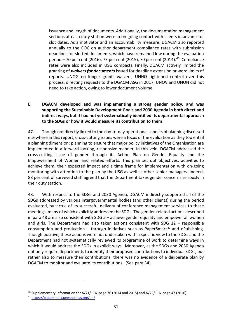issuance and length of documents. Additionally, the documentation management sections at each duty station were in on-going contact with clients in advance of slot dates. As a motivator and an accountability measure, DGACM also reported annually to the COC on author department compliance rates with submission deadlines for slotted documents, which have remained low during the evaluation period – 70 per cent (2016), 73 per cent (2015), 70 per cent (2014). [46](#page-31-0) Compliance rates were also included in USG compacts. Finally, DGACM actively limited the granting of *waivers for documents* issued for deadline extension or word limits of reports. UNOG no longer grants waivers; UNHQ tightened control over this process, directing requests to the DGACM ASG in 2017; UNOV and UNON did not need to take action, owing to lower document volume.

### **E. DGACM developed and was implementing a strong gender policy, and was supporting the Sustainable Development Goals and 2030 Agenda in both direct and indirect ways, but it had not yet systematically identified its departmental approach to the SDGs or how it would measure its contribution to them**

47. Though not directly linked to the day-to-day operational aspects of planning discussed elsewhere in this report, cross-cutting issues were a focus of the evaluation as they too entail a planning dimension: planning to ensure that major policy initiatives of the Organisation are implemented in a forward-looking, responsive manner. In this vein, DGACM addressed the cross-cutting issue of gender through its Action Plan on Gender Equality and the Empowerment of Women and related efforts. This plan set out objectives, activities to achieve them, their expected impact and a time frame for implementation with on-going monitoring with attention to the plan by the USG as well as other senior managers. Indeed, 88 per cent of surveyed staff agreed that the Department takes gender concerns seriously in their duty station.

48. With respect to the SDGs and 2030 Agenda, DGACM indirectly supported all of the SDGs addressed by various intergovernmental bodies (and other clients) during the period evaluated, by virtue of its successful delivery of conference management services to these meetings, many of which explicitly addressed the SDGs. The gender-related actions described in para 48 are also consistent with SDG 5 – achieve gender equality and empower all women and girls. The Department had also taken actions consistent with SDG  $12$  – responsible consumption and production – through initiatives such as PaperSmart<sup>[47](#page-31-1)</sup> and ePublishing. Though positive, these actions were not undertaken with a specific view to the SDGs and the Department had not systematically reviewed its programme of work to determine ways in which it would address the SDGs in explicit ways. Moreover, as the SDGs and 2030 Agenda not only require departments to identify their proposed contributions to individual SDGs, but rather also to measure their contributions, there was no evidence of a deliberate plan by DGACM to monitor and evaluate its contributions. (See para 34).

<span id="page-31-0"></span><sup>46</sup> Supplementary Information for A/71/116, page 76 (2014 and 2015) and A/72/116, page 47 (2016)

<span id="page-31-1"></span><sup>47</sup> <https://papersmart.unmeetings.org/en/>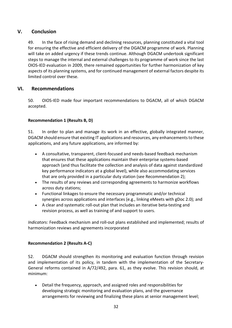# <span id="page-32-0"></span>**V. Conclusion**

49. In the face of rising demand and declining resources, planning constituted a vital tool for ensuring the effective and efficient delivery of the DGACM programme of work. Planning will take on added urgency if these trends continue. Although DGACM undertook significant steps to manage the internal and external challenges to its programme of work since the last OIOS-IED evaluation in 2009, there remained opportunities for further harmonization of key aspects of its planning systems, and for continued management of external factors despite its limited control over these.

# <span id="page-32-1"></span>**VI. Recommendations**

50. OIOS-IED made four important recommendations to DGACM, all of which DGACM accepted.

## **Recommendation 1 (Results B, D)**

51. In order to plan and manage its work in an effective, globally integrated manner, DGACM should ensure that existing IT applications and resources, any enhancements to these applications, and any future applications, are informed by:

- A consultative, transparent, client-focused and needs-based feedback mechanism that ensures that these applications maintain their enterprise systems-based approach (and thus facilitate the collection and analysis of data against standardized key performance indicators at a global level), while also accommodating services that are only provided in a particular duty station (see Recommendation 2);
- The results of any reviews and corresponding agreements to harmonize workflows across duty stations;
- Functional linkages to ensure the necessary programmatic and/or technical synergies across applications and interfaces (e.g., linking eMeets with gDoc 2.0); and
- A clear and systematic roll-out plan that includes an iterative beta-testing and revision process, as well as training of and support to users.

*Indicators:* Feedback mechanism and roll-out plans established and implemented; results of harmonization reviews and agreements incorporated

## **Recommendation 2 (Results A-C)**

52. DGACM should strengthen its monitoring and evaluation function through revision and implementation of its policy, in tandem with the implementation of the Secretary-General reforms contained in A/72/492, para. 61, as they evolve. This revision should, at minimum:

• Detail the frequency, approach, and assigned roles and responsibilities for developing strategic monitoring and evaluation plans, and the governance arrangements for reviewing and finalizing these plans at senior management level;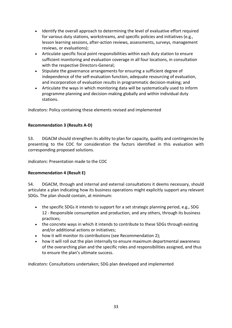- Identify the overall approach to determining the level of evaluative effort required for various duty stations, workstreams, and specific policies and initiatives (e.g., lesson learning sessions, after-action reviews, assessments, surveys, management reviews, or evaluations);
- Articulate specific focal point responsibilities within each duty station to ensure sufficient monitoring and evaluation coverage in all four locations, in consultation with the respective Directors-General;
- Stipulate the governance arrangements for ensuring a sufficient degree of independence of the self-evaluation function, adequate resourcing of evaluation, and incorporation of evaluation results in programmatic decision-making; and
- Articulate the ways in which monitoring data will be systematically used to inform programme planning and decision-making globally and within individual duty stations.

*Indicators:* Policy containing these elements revised and implemented

## **Recommendation 3 (Results A-D)**

53. DGACM should strengthen its ability to plan for capacity, quality and contingencies by presenting to the COC for consideration the factors identified in this evaluation with corresponding proposed solutions.

*Indicators:* Presentation made to the COC

## **Recommendation 4 (Result E)**

54. DGACM, through and internal and external consultations it deems necessary, should articulate a plan indicating how its business operations might explicitly support any relevant SDGs. The plan should contain, at minimum:

- the specific SDGs it intends to support for a set strategic planning period, e.g., SDG 12 - Responsible consumption and production, and any others, through its business practices;
- the concrete ways in which it intends to contribute to these SDGs through existing and/or additional actions or initiatives;
- how it will monitor its contributions (see Recommendation 2);
- how it will roll out the plan internally to ensure maximum departmental awareness of the overarching plan and the specific roles and responsibilities assigned, and thus to ensure the plan's ultimate success.

*Indicators:* Consultations undertaken; SDG plan developed and implemented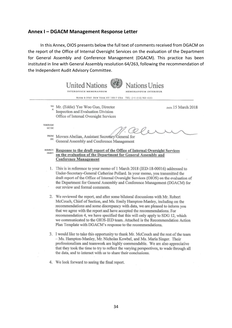### <span id="page-34-0"></span>**Annex I – DGACM Management Response Letter**

In this Annex, OIOS presents below the full text of comments received from DGACM on the report of the Office of Internal Oversight Services on the evaluation of the Department for General Assembly and Conference Management (DGACM). This practice has been instituted in line with General Assembly resolution 64/263, following the recommendation of the Independent Audit Advisory Committee.

**United Nations** Nations Unies **INTEROFFICE MEMORANDUM MEMORANDUM INTERIEUR** ROOM S-3065 NEW YORK NY 10017 USA TEL: (+1-212) 963 4151 <sup>TO:</sup> Mr. (Eddie) Yee Woo Guo, Director DATE 15 March 2018 Inspection and Evaluation Division Office of Internal Oversight Services THROUGH: S/C DE **FROM:** Movses Abelian, Assistant Secretary-General for DE. General Assembly and Conference Management SUBJECT: Response to the draft report of the Office of Internal Oversight Services OBJET. on the evaluation of the Department for General Assembly and **Conference Management** 1. This is in reference to your memo of 1 March 2018 (IED-18-00016) addressed to Under-Secretary-General Catherine Pollard. In your memo, you transmitted the draft report of the Office of Internal Oversight Services (OIOS) on the evaluation of the Department for General Assembly and Conference Management (DGACM) for our review and formal comments. 2. We reviewed the report, and after some bilateral discussions with Mr. Robert McCouch, Chief of Section, and Ms. Emily Hampton-Manley, including on the recommendations and some discrepancy with data, we are pleased to inform you that we agree with the report and have accepted the recommendations. For recommendation 4, we have specified that this will only apply to SDG 12, which we communicated to the OIOS-IED team. Attached is the Recommendation Action Plan Template with DGACM's response to the recommendations.

- 3. I would like to take this opportunity to thank Mr. McCouch and the rest of the team - Ms. Hampton-Manley, Mr. Nicholas Kowbel, and Ms. Maria Singer. Their professionalism and teamwork are highly commendable. We are also appreciative that they took the time to try to reflect the varying perspectives, to wade through all the data, and to interact with us to share their conclusions.
- 4. We look forward to seeing the final report.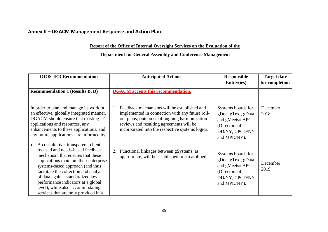# **Annex II – DGACM Management Response and Action Plan**

## **Report of the Office of Internal Oversight Services on the Evaluation of the**

# **Department for General Assembly and Conference Management**

<span id="page-35-0"></span>

| <b>OIOS-IED Recommendation</b>                                                                                                                                                                                                                                                                                                                                                              | <b>Anticipated Actions</b>                                                                                                                                                                                                                     | <b>Responsible</b><br><b>Entity(ies)</b>                                                                       | <b>Target date</b><br>for completion |  |
|---------------------------------------------------------------------------------------------------------------------------------------------------------------------------------------------------------------------------------------------------------------------------------------------------------------------------------------------------------------------------------------------|------------------------------------------------------------------------------------------------------------------------------------------------------------------------------------------------------------------------------------------------|----------------------------------------------------------------------------------------------------------------|--------------------------------------|--|
| <b>Recommendation 1 (Results B, D)</b>                                                                                                                                                                                                                                                                                                                                                      | <b>DGACM</b> accepts this recommendation.                                                                                                                                                                                                      |                                                                                                                |                                      |  |
| In order to plan and manage its work in<br>an effective, globally integrated manner,<br>DGACM should ensure that existing IT<br>applications and resources, any<br>enhancements to these applications, and<br>any future applications, are informed by:                                                                                                                                     | Feedback mechanisms will be established and<br>implemented in connection with any future roll-<br>out plans; outcomes of ongoing harmonization<br>reviews and resulting agreements will be<br>incorporated into the respective systems logics. | Systems boards for<br>gDoc, gText, gData<br>and gMeets/eAPG<br>(Directors of<br>DD/NY, CPCD/NY<br>and MPD/NY). | December<br>2018                     |  |
| A consultative, transparent, client-<br>focused and needs-based feedback<br>mechanism that ensures that these<br>applications maintain their enterprise<br>systems-based approach (and thus<br>facilitate the collection and analysis<br>of data against standardized key<br>performance indicators at a global<br>level), while also accommodating<br>services that are only provided in a | 2. Functional linkages between gSystems, as<br>appropriate, will be established or streamlined.                                                                                                                                                | Systems boards for<br>gDoc, gText, gData<br>and gMeets/eAPG<br>(Directors of<br>DD/NY, CPCD/NY<br>and MPD/NY). | December<br>2019                     |  |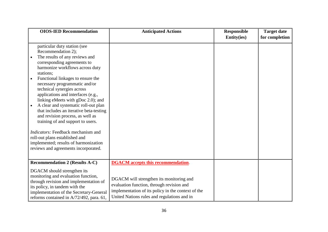| <b>OIOS-IED Recommendation</b>                                                                                                                                                                                                                                                                                                                                                                                                                                                                                                                                                                                                                                           | <b>Anticipated Actions</b>                                                                                                                                                                 | <b>Responsible</b><br><b>Entity(ies)</b> | <b>Target date</b><br>for completion |
|--------------------------------------------------------------------------------------------------------------------------------------------------------------------------------------------------------------------------------------------------------------------------------------------------------------------------------------------------------------------------------------------------------------------------------------------------------------------------------------------------------------------------------------------------------------------------------------------------------------------------------------------------------------------------|--------------------------------------------------------------------------------------------------------------------------------------------------------------------------------------------|------------------------------------------|--------------------------------------|
| particular duty station (see<br>Recommendation 2);<br>The results of any reviews and<br>corresponding agreements to<br>harmonize workflows across duty<br>stations;<br>Functional linkages to ensure the<br>necessary programmatic and/or<br>technical synergies across<br>applications and interfaces (e.g.,<br>linking eMeets with gDoc 2.0); and<br>A clear and systematic roll-out plan<br>that includes an iterative beta-testing<br>and revision process, as well as<br>training of and support to users.<br>Indicators: Feedback mechanism and<br>roll-out plans established and<br>implemented; results of harmonization<br>reviews and agreements incorporated. |                                                                                                                                                                                            |                                          |                                      |
| <b>Recommendation 2 (Results A-C)</b>                                                                                                                                                                                                                                                                                                                                                                                                                                                                                                                                                                                                                                    | <b>DGACM</b> accepts this recommendation.                                                                                                                                                  |                                          |                                      |
| DGACM should strengthen its<br>monitoring and evaluation function,<br>through revision and implementation of<br>its policy, in tandem with the<br>implementation of the Secretary-General<br>reforms contained in A/72/492, para. 61,                                                                                                                                                                                                                                                                                                                                                                                                                                    | DGACM will strengthen its monitoring and<br>evaluation function, through revision and<br>implementation of its policy in the context of the<br>United Nations rules and regulations and in |                                          |                                      |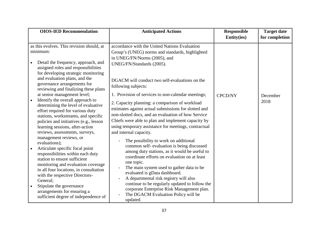|                        | <b>OIOS-IED Recommendation</b>                                                                                                                                                                                                                                                                                                                                                                                                                                                                                                                                                         | <b>Anticipated Actions</b>                                                                                                                                                                                                                                                                                                                                                                                                                                                                                                                                                                           | Responsible<br><b>Entity(ies)</b> | <b>Target date</b><br>for completion |
|------------------------|----------------------------------------------------------------------------------------------------------------------------------------------------------------------------------------------------------------------------------------------------------------------------------------------------------------------------------------------------------------------------------------------------------------------------------------------------------------------------------------------------------------------------------------------------------------------------------------|------------------------------------------------------------------------------------------------------------------------------------------------------------------------------------------------------------------------------------------------------------------------------------------------------------------------------------------------------------------------------------------------------------------------------------------------------------------------------------------------------------------------------------------------------------------------------------------------------|-----------------------------------|--------------------------------------|
|                        | as this evolves. This revision should, at<br>minimum:<br>Detail the frequency, approach, and<br>assigned roles and responsibilities<br>for developing strategic monitoring<br>and evaluation plans, and the<br>governance arrangements for<br>reviewing and finalizing these plans<br>at senior management level;<br>Identify the overall approach to<br>determining the level of evaluative<br>effort required for various duty<br>stations, workstreams, and specific<br>policies and initiatives (e.g., lesson<br>learning sessions, after-action<br>reviews, assessments, surveys, | accordance with the United Nations Evaluation<br>Group's (UNEG) norms and standards, highlighted<br>in UNEG/FN/Norms (2005), and<br>UNEG/FN/Standards (2005).<br>DGACM will conduct two self-evaluations on the<br>following subjects:<br>1. Provision of services to non-calendar meetings;<br>2. Capacity planning: a comparison of workload<br>estimates against actual submissions for slotted and<br>non-slotted docs, and an evaluation of how Service<br>Chiefs were able to plan and implement capacity by<br>using temporary assistance for meetings, contractual<br>and internal capacity. | <b>CPCD/NY</b>                    | December<br>2018                     |
| $\bullet$<br>$\bullet$ | management reviews, or<br>evaluations);<br>Articulate specific focal point<br>responsibilities within each duty<br>station to ensure sufficient<br>monitoring and evaluation coverage<br>in all four locations, in consultation<br>with the respective Directors-<br>General;<br>Stipulate the governance<br>arrangements for ensuring a<br>sufficient degree of independence of                                                                                                                                                                                                       | The possibility to work on additional<br>common self-evaluation is being discussed<br>among duty stations, as it would be useful to<br>coordinate efforts on evaluation on at least<br>one topic.<br>The main system used to gather data to be<br>evaluated is gData dashboard.<br>A departmental risk registry will also<br>continue to be regularly updated to follow the<br>corporate Enterprise Risk Management plan.<br>The DGACM Evaluation Policy will be<br>updated.                                                                                                                         |                                   |                                      |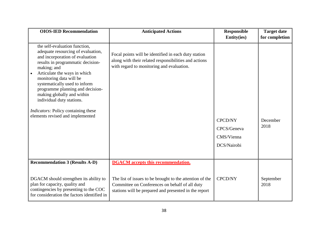| <b>OIOS-IED Recommendation</b>                                                                                                                                                                                                                                                                                                                                                                                                          | <b>Anticipated Actions</b>                                                                                                                                          | <b>Responsible</b><br><b>Entity(ies)</b>                   | <b>Target date</b><br>for completion |
|-----------------------------------------------------------------------------------------------------------------------------------------------------------------------------------------------------------------------------------------------------------------------------------------------------------------------------------------------------------------------------------------------------------------------------------------|---------------------------------------------------------------------------------------------------------------------------------------------------------------------|------------------------------------------------------------|--------------------------------------|
| the self-evaluation function,<br>adequate resourcing of evaluation,<br>and incorporation of evaluation<br>results in programmatic decision-<br>making; and<br>Articulate the ways in which<br>monitoring data will be<br>systematically used to inform<br>programme planning and decision-<br>making globally and within<br>individual duty stations.<br><i>Indicators:</i> Policy containing these<br>elements revised and implemented | Focal points will be identified in each duty station<br>along with their related responsibilities and actions<br>with regard to monitoring and evaluation.          | <b>CPCD/NY</b><br>CPCS/Geneva<br>CMS/Vienna<br>DCS/Nairobi | December<br>2018                     |
| <b>Recommendation 3 (Results A-D)</b>                                                                                                                                                                                                                                                                                                                                                                                                   | <b>DGACM</b> accepts this recommendation.                                                                                                                           |                                                            |                                      |
| DGACM should strengthen its ability to<br>plan for capacity, quality and<br>contingencies by presenting to the COC<br>for consideration the factors identified in                                                                                                                                                                                                                                                                       | The list of issues to be brought to the attention of the<br>Committee on Conferences on behalf of all duty<br>stations will be prepared and presented in the report | <b>CPCD/NY</b>                                             | September<br>2018                    |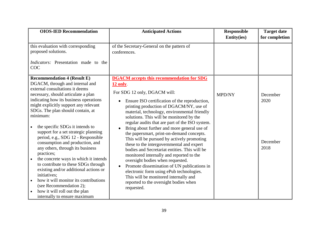| <b>OIOS-IED Recommendation</b>                                                                                                                                                                                                                                                                                                                                                                                                                                                                                                                                                                                                                                                                                                                                          | <b>Anticipated Actions</b>                                                                                                                                                                                                                                                                                                                                                                                                                                                                                                                                                                                                                                                                                                                                                                                                                                 | Responsible<br><b>Entity(ies)</b> | <b>Target date</b><br>for completion |
|-------------------------------------------------------------------------------------------------------------------------------------------------------------------------------------------------------------------------------------------------------------------------------------------------------------------------------------------------------------------------------------------------------------------------------------------------------------------------------------------------------------------------------------------------------------------------------------------------------------------------------------------------------------------------------------------------------------------------------------------------------------------------|------------------------------------------------------------------------------------------------------------------------------------------------------------------------------------------------------------------------------------------------------------------------------------------------------------------------------------------------------------------------------------------------------------------------------------------------------------------------------------------------------------------------------------------------------------------------------------------------------------------------------------------------------------------------------------------------------------------------------------------------------------------------------------------------------------------------------------------------------------|-----------------------------------|--------------------------------------|
| this evaluation with corresponding<br>proposed solutions.<br><i>Indicators:</i> Presentation made to the<br>COC                                                                                                                                                                                                                                                                                                                                                                                                                                                                                                                                                                                                                                                         | of the Secretary-General on the pattern of<br>conferences.                                                                                                                                                                                                                                                                                                                                                                                                                                                                                                                                                                                                                                                                                                                                                                                                 |                                   |                                      |
| <b>Recommendation 4 (Result E)</b><br>DGACM, through and internal and<br>external consultations it deems<br>necessary, should articulate a plan<br>indicating how its business operations<br>might explicitly support any relevant<br>SDGs. The plan should contain, at<br>minimum:<br>the specific SDGs it intends to<br>support for a set strategic planning<br>period, e.g., SDG 12 - Responsible<br>consumption and production, and<br>any others, through its business<br>practices;<br>the concrete ways in which it intends<br>to contribute to these SDGs through<br>existing and/or additional actions or<br>initiatives:<br>how it will monitor its contributions<br>(see Recommendation 2);<br>how it will roll out the plan<br>internally to ensure maximum | <b>DGACM</b> accepts this recommendation for SDG<br>12 only.<br>For SDG 12 only, DGACM will:<br>Ensure ISO certification of the reproduction,<br>printing production of DGACM/NY, use of<br>material, technology, environmental friendly<br>solutions. This will be monitored by the<br>regular audits that are part of the ISO system.<br>Bring about further and more general use of<br>the papersmart, print-on-demand concepts.<br>This will be pursued by actively promoting<br>these to the intergovernmental and expert<br>bodies and Secretariat entities. This will be<br>monitored internally and reported to the<br>oversight bodies when requested.<br>Promote dissemination of UN publications in<br>electronic form using ePub technologies.<br>This will be monitored internally and<br>reported to the oversight bodies when<br>requested. | <b>MPD/NY</b>                     | December<br>2020<br>December<br>2018 |